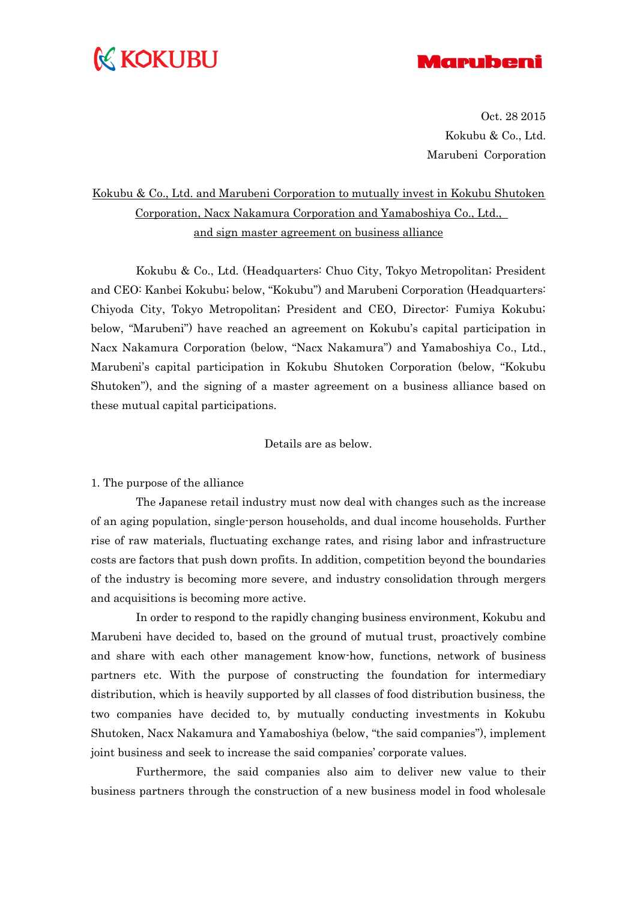## **K KOKUBU**



Oct. 28 2015 Kokubu & Co., Ltd. Marubeni Corporation

## Kokubu & Co., Ltd. and Marubeni Corporation to mutually invest in Kokubu Shutoken Corporation, Nacx Nakamura Corporation and Yamaboshiya Co., Ltd., and sign master agreement on business alliance

Kokubu & Co., Ltd. (Headquarters: Chuo City, Tokyo Metropolitan; President and CEO: Kanbei Kokubu; below, "Kokubu") and Marubeni Corporation (Headquarters: Chiyoda City, Tokyo Metropolitan; President and CEO, Director: Fumiya Kokubu; below, "Marubeni") have reached an agreement on Kokubu's capital participation in Nacx Nakamura Corporation (below, "Nacx Nakamura") and Yamaboshiya Co., Ltd., Marubeni's capital participation in Kokubu Shutoken Corporation (below, "Kokubu Shutoken"), and the signing of a master agreement on a business alliance based on these mutual capital participations.

#### Details are as below.

1. The purpose of the alliance

The Japanese retail industry must now deal with changes such as the increase of an aging population, single-person households, and dual income households. Further rise of raw materials, fluctuating exchange rates, and rising labor and infrastructure costs are factors that push down profits. In addition, competition beyond the boundaries of the industry is becoming more severe, and industry consolidation through mergers and acquisitions is becoming more active.

In order to respond to the rapidly changing business environment, Kokubu and Marubeni have decided to, based on the ground of mutual trust, proactively combine and share with each other management know-how, functions, network of business partners etc. With the purpose of constructing the foundation for intermediary distribution, which is heavily supported by all classes of food distribution business, the two companies have decided to, by mutually conducting investments in Kokubu Shutoken, Nacx Nakamura and Yamaboshiya (below, "the said companies"), implement joint business and seek to increase the said companies' corporate values.

Furthermore, the said companies also aim to deliver new value to their business partners through the construction of a new business model in food wholesale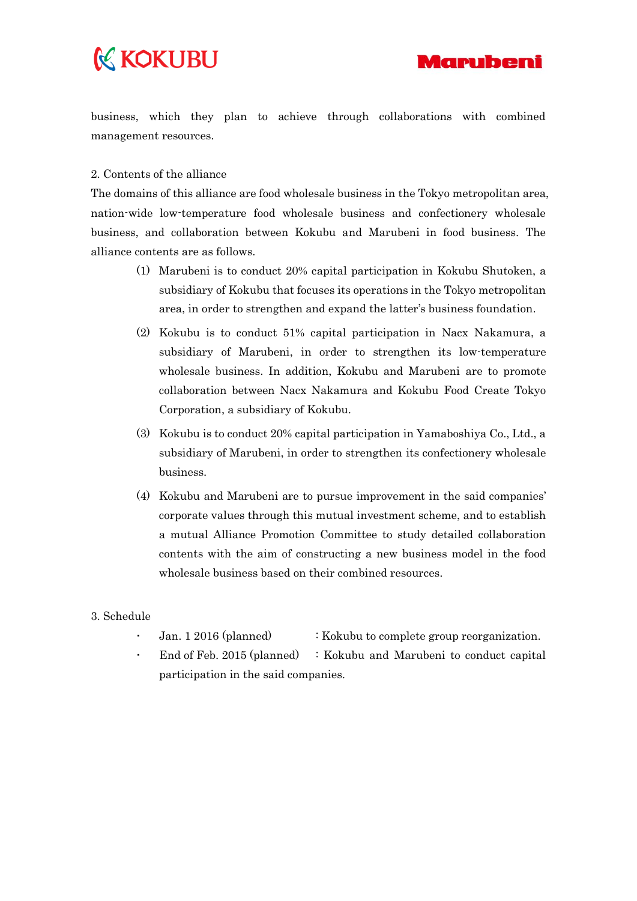# **K KOKUBU**



business, which they plan to achieve through collaborations with combined management resources.

#### 2. Contents of the alliance

The domains of this alliance are food wholesale business in the Tokyo metropolitan area, nation-wide low-temperature food wholesale business and confectionery wholesale business, and collaboration between Kokubu and Marubeni in food business. The alliance contents are as follows.

- (1) Marubeni is to conduct 20% capital participation in Kokubu Shutoken, a subsidiary of Kokubu that focuses its operations in the Tokyo metropolitan area, in order to strengthen and expand the latter's business foundation.
- (2) Kokubu is to conduct 51% capital participation in Nacx Nakamura, a subsidiary of Marubeni, in order to strengthen its low-temperature wholesale business. In addition, Kokubu and Marubeni are to promote collaboration between Nacx Nakamura and Kokubu Food Create Tokyo Corporation, a subsidiary of Kokubu.
- (3) Kokubu is to conduct 20% capital participation in Yamaboshiya Co., Ltd., a subsidiary of Marubeni, in order to strengthen its confectionery wholesale business.
- (4) Kokubu and Marubeni are to pursue improvement in the said companies' corporate values through this mutual investment scheme, and to establish a mutual Alliance Promotion Committee to study detailed collaboration contents with the aim of constructing a new business model in the food wholesale business based on their combined resources.
- 3. Schedule
	- Jan. 1 2016 (planned) : Kokubu to complete group reorganization.
	- End of Feb. 2015 (planned) : Kokubu and Marubeni to conduct capital participation in the said companies.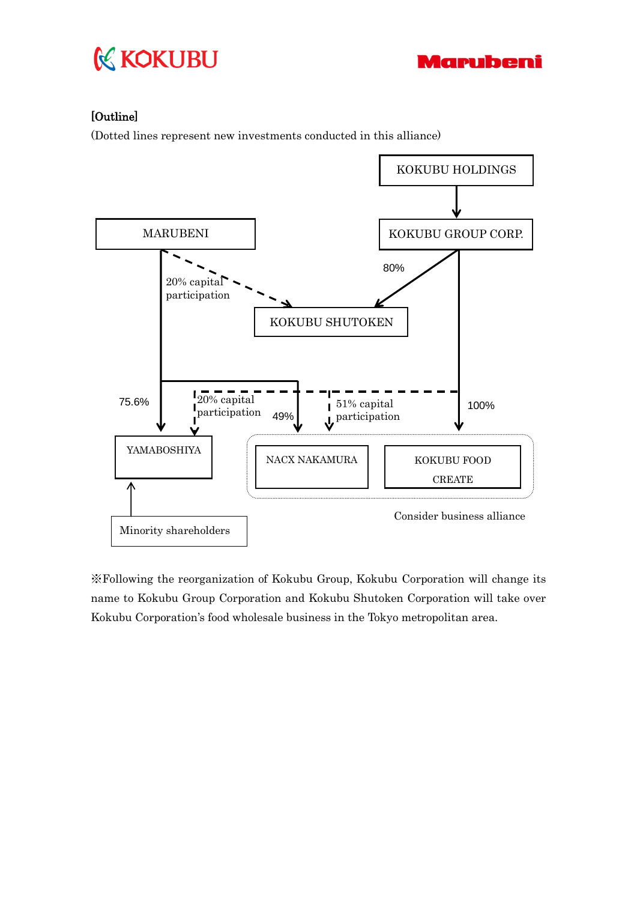



### [Outline]

(Dotted lines represent new investments conducted in this alliance)



※Following the reorganization of Kokubu Group, Kokubu Corporation will change its name to Kokubu Group Corporation and Kokubu Shutoken Corporation will take over Kokubu Corporation's food wholesale business in the Tokyo metropolitan area.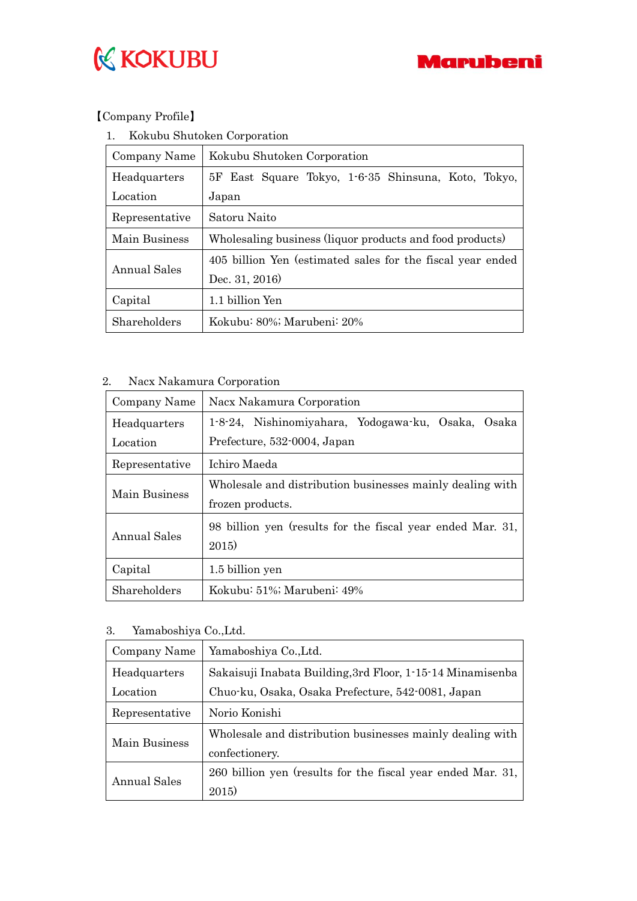



### 【Company Profile】

| 1. |  |  | Kokubu Shutoken Corporation |
|----|--|--|-----------------------------|
|----|--|--|-----------------------------|

| Company Name   | Kokubu Shutoken Corporation                                |  |
|----------------|------------------------------------------------------------|--|
| Headquarters   | 5F East Square Tokyo, 1-6-35 Shinsuna, Koto, Tokyo,        |  |
| Location       | Japan                                                      |  |
| Representative | Satoru Naito                                               |  |
| Main Business  | Wholesaling business (liquor products and food products)   |  |
|                | 405 billion Yen (estimated sales for the fiscal year ended |  |
| Annual Sales   | Dec. 31, 2016)                                             |  |
| Capital        | 1.1 billion Yen                                            |  |
| Shareholders   | Kokubu: 80%; Marubeni: 20%                                 |  |

### 2. Nacx Nakamura Corporation

| Company Name   | Nacx Nakamura Corporation                                           |
|----------------|---------------------------------------------------------------------|
| Headquarters   | 1-8-24, Nishinomiyahara, Yodogawa-ku, Osaka, Osaka                  |
| Location       | Prefecture, 532-0004, Japan                                         |
| Representative | Ichiro Maeda                                                        |
|                | Wholesale and distribution businesses mainly dealing with           |
| Main Business  | frozen products.                                                    |
| Annual Sales   | 98 billion yen (results for the fiscal year ended Mar. 31,<br>2015) |
| Capital        | 1.5 billion yen                                                     |
| Shareholders   | Kokubu: 51%; Marubeni: 49%                                          |

3. Yamaboshiya Co.,Ltd.

| Company Name   | Yamaboshiya Co.,Ltd.                                        |
|----------------|-------------------------------------------------------------|
| Headquarters   | Sakaisuji Inabata Building, 3rd Floor, 1-15-14 Minamisenba  |
| Location       | Chuo-ku, Osaka, Osaka Prefecture, 542-0081, Japan           |
| Representative | Norio Konishi                                               |
| Main Business  | Wholesale and distribution businesses mainly dealing with   |
|                | confectionery.                                              |
| Annual Sales   | 260 billion yen (results for the fiscal year ended Mar. 31, |
|                | 2015)                                                       |